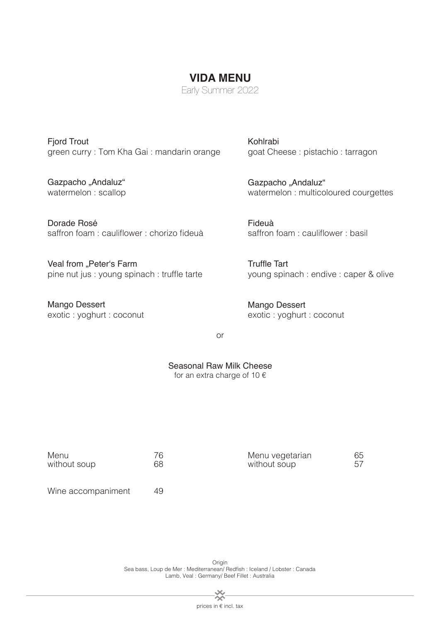Fjord Trout green curry : Tom Kha Gai : mandarin orange

Gazpacho "Andaluz" watermelon : scallop

Dorade Rosé saffron foam : cauliflower : chorizo fideuà

Veal from "Peter's Farm pine nut jus : young spinach : truffle tarte

Mango Dessert exotic : yoghurt : coconut Kohlrabi goat Cheese : pistachio : tarragon

Gazpacho "Andaluz" watermelon : multicoloured courgettes

Fideuà saffron foam : cauliflower : basil

Truffle Tart young spinach : endive : caper & olive

Mango Dessert exotic : yoghurt : coconut

or

**VIDA MENU** Early Summer 2022

Seasonal Raw Milk Cheese for an extra charge of 10  $\epsilon$ 

| Menu               | 76 | Menu vegetarian | 65 |
|--------------------|----|-----------------|----|
| without soup       | 68 | without soup    | 57 |
| Wine accompaniment | 49 |                 |    |

Origin Sea bass, Loup de Mer : Mediterranean/ Redfish : Iceland / Lobster : Canada Lamb, Veal : Germany/ Beef Fillet : Australia